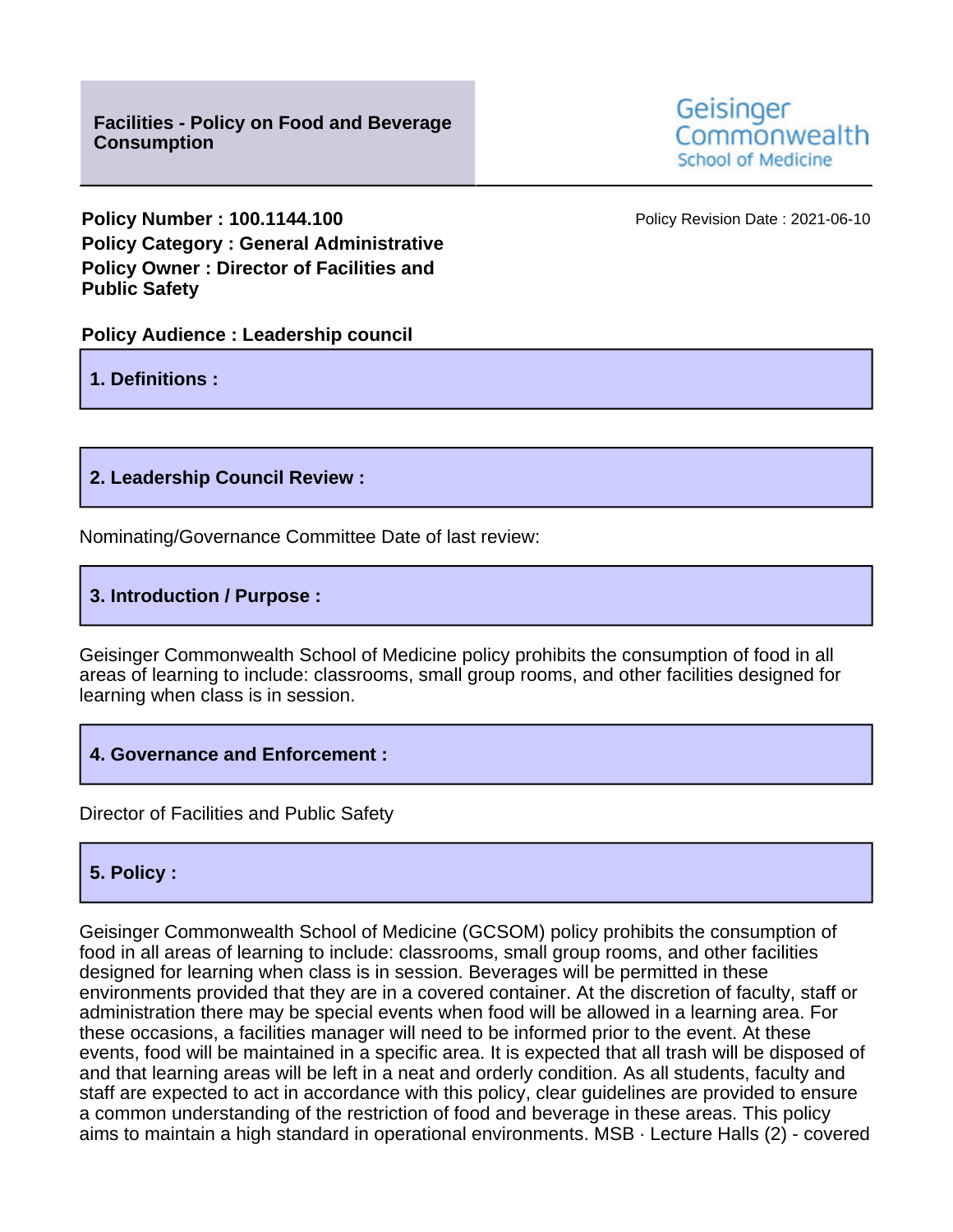**Policy Number : 100.1144.100 Policy Revision Date : 2021-06-10 Policy Category : General Administrative Policy Owner : Director of Facilities and Public Safety**

**Policy Audience : Leadership council**

**1. Definitions :**

**2. Leadership Council Review :**

Nominating/Governance Committee Date of last review:

**3. Introduction / Purpose :**

Geisinger Commonwealth School of Medicine policy prohibits the consumption of food in all areas of learning to include: classrooms, small group rooms, and other facilities designed for learning when class is in session.

**4. Governance and Enforcement :**

Director of Facilities and Public Safety

## **5. Policy :**

Geisinger Commonwealth School of Medicine (GCSOM) policy prohibits the consumption of food in all areas of learning to include: classrooms, small group rooms, and other facilities designed for learning when class is in session. Beverages will be permitted in these environments provided that they are in a covered container. At the discretion of faculty, staff or administration there may be special events when food will be allowed in a learning area. For these occasions, a facilities manager will need to be informed prior to the event. At these events, food will be maintained in a specific area. It is expected that all trash will be disposed of and that learning areas will be left in a neat and orderly condition. As all students, faculty and staff are expected to act in accordance with this policy, clear guidelines are provided to ensure a common understanding of the restriction of food and beverage in these areas. This policy aims to maintain a high standard in operational environments. MSB · Lecture Halls (2) - covered